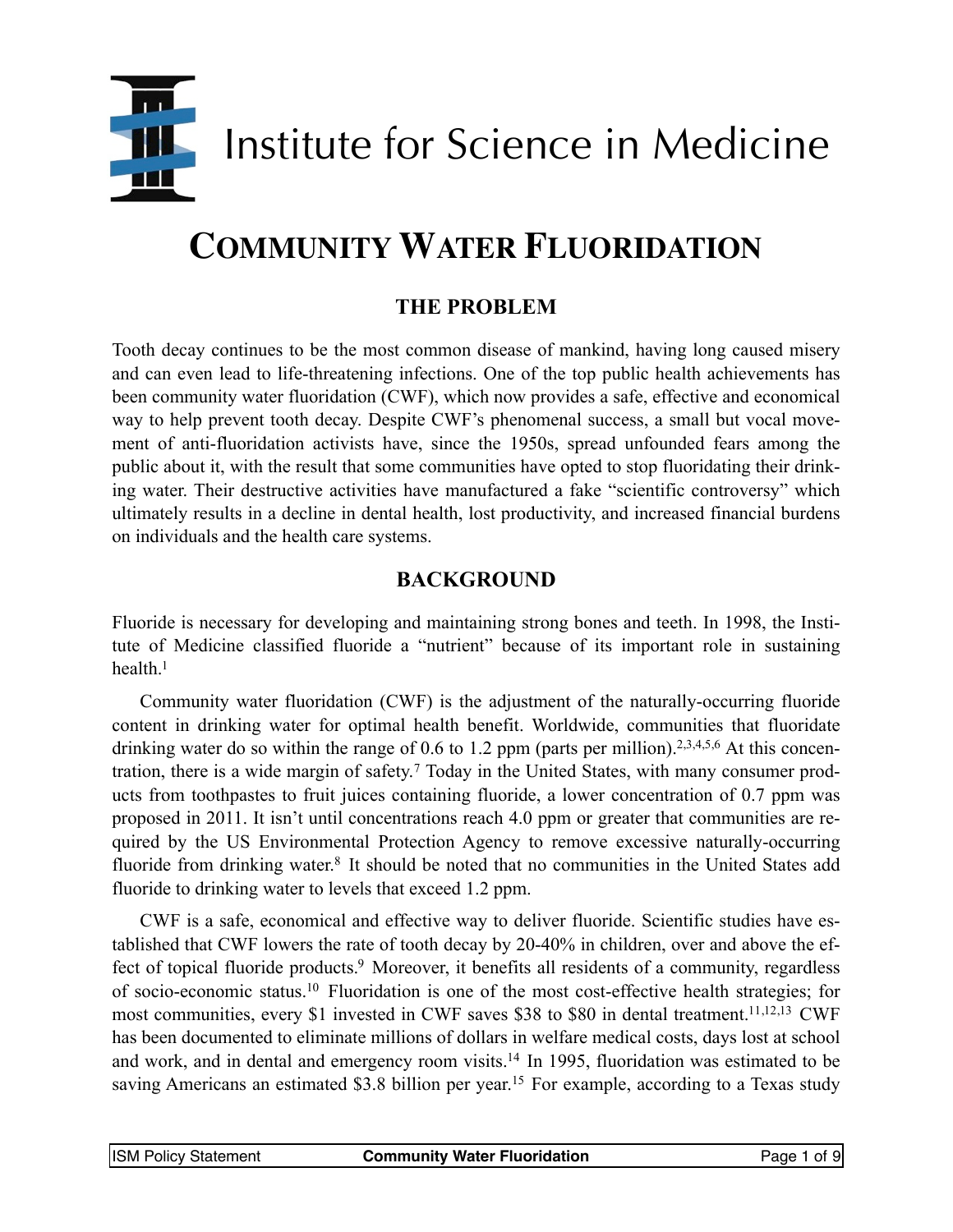

# **COMMUNITY WATER FLUORIDATION**

## **THE PROBLEM**

Tooth decay continues to be the most common disease of mankind, having long caused misery and can even lead to life-threatening infections. One of the top public health achievements has been community water fluoridation (CWF), which now provides a safe, effective and economical way to help prevent tooth decay. Despite CWF's phenomenal success, a small but vocal movement of anti-fluoridation activists have, since the 1950s, spread unfounded fears among the public about it, with the result that some communities have opted to stop fluoridating their drinking water. Their destructive activities have manufactured a fake "scientific controversy" which ultimately results in a decline in dental health, lost productivity, and increased financial burdens on individuals and the health care systems.

#### **BACKGROUND**

Fluoride is necessary for developing and maintaining strong bones and teeth. In 1998, the Institute of Medicine classified fluoride a "nutrient" because of its important role in sustaining health.<sup>1</sup>

Community water fluoridation (CWF) is the adjustment of the naturally-occurring fluoride content in drinking water for optimal health benefit. Worldwide, communities that fluoridate drinking water do so within the range of 0.6 to 1[.2](#page-6-1) ppm (parts per million).<sup>2[,3](#page-6-2)[,4](#page-6-3)[,5](#page-6-4)[,6](#page-6-5)</sup> At this concentration, there is a wide margin of safety.[7](#page-6-6) Today in the United States, with many consumer products from toothpastes to fruit juices containing fluoride, a lower concentration of 0.7 ppm was proposed in 2011. It isn't until concentrations reach 4.0 ppm or greater that communities are required by the US Environmental Protection Agency to remove excessive naturally-occurring fluoride from drinking water.<sup>[8](#page-6-7)</sup> It should be noted that no communities in the United States add fluoride to drinking water to levels that exceed 1.2 ppm.

CWF is a safe, economical and effective way to deliver fluoride. Scientific studies have established that CWF lowers the rate of tooth decay by 20-40% in children, over and above the effect of topical fluoride products.<sup>9</sup> Moreover, it benefits all residents of a community, regardless of socio-economic status[.10](#page-6-9) Fluoridation is one of the most cost-effective health strategies; for most communities, every \$1 invested in CWF saves \$38 to \$80 in dental treatment[.11](#page-6-10)[,12](#page-6-11)[,13](#page-6-12) CWF has been documented to eliminate millions of dollars in welfare medical costs, days lost at school and work, and in dental and emergency room visits[.14](#page-6-13) In 1995, fluoridation was estimated to be saving Americans an estimated \$3.8 billion per year.<sup>[15](#page-6-14)</sup> For example, according to a Texas study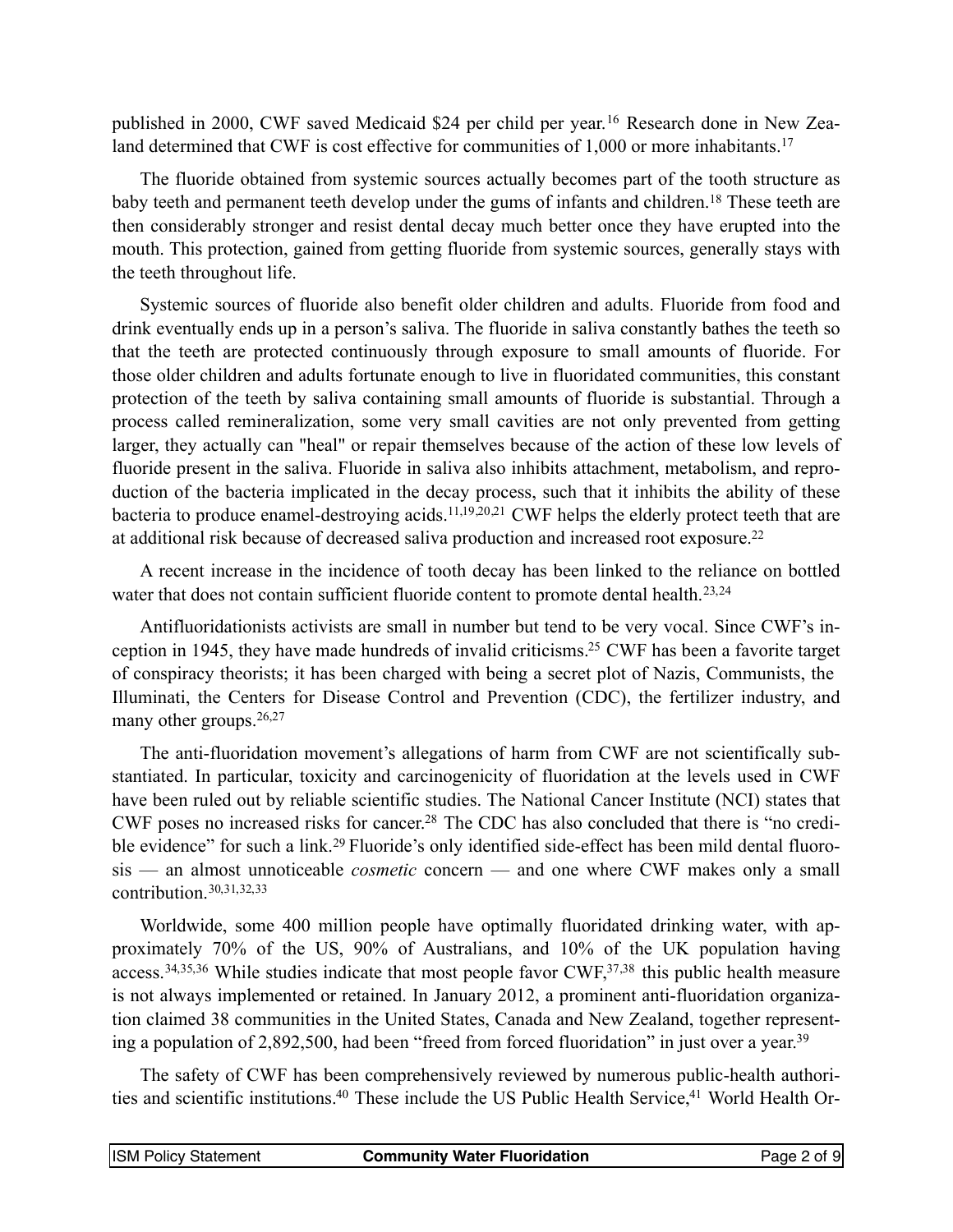published in 2000, CWF saved Medicaid \$24 per child per year.[16](#page-6-15) Research done in New Zea-land determined that CWF is cost effective for communities of 1,000 or more inhabitants.<sup>[17](#page-6-16)</sup>

The fluoride obtained from systemic sources actually becomes part of the tooth structure as baby teeth and permanent teeth develop under the gums of infants and children.<sup>[18](#page-6-17)</sup> These teeth are then considerably stronger and resist dental decay much better once they have erupted into the mouth. This protection, gained from getting fluoride from systemic sources, generally stays with the teeth throughout life.

Systemic sources of fluoride also benefit older children and adults. Fluoride from food and drink eventually ends up in a person's saliva. The fluoride in saliva constantly bathes the teeth so that the teeth are protected continuously through exposure to small amounts of fluoride. For those older children and adults fortunate enough to live in fluoridated communities, this constant protection of the teeth by saliva containing small amounts of fluoride is substantial. Through a process called remineralization, some very small cavities are not only prevented from getting larger, they actually can "heal" or repair themselves because of the action of these low levels of fluoride present in the saliva. Fluoride in saliva also inhibits attachment, metabolism, and reproduction of the bacteria implicated in the decay process, such that it inhibits the ability of these bacteria to produce enamel-destroying acids.11[,19](#page-6-18)[,20](#page-7-0)[,21](#page-7-1) CWF helps the elderly protect teeth that are at additional risk because of decreased saliva production and increased root exposure[.22](#page-7-2)

A recent increase in the incidence of tooth decay has been linked to the reliance on bottled water that does not contain sufficient fluoride content to promote dental health.<sup>[23,](#page-7-3)[24](#page-7-4)</sup>

Antifluoridationists activists are small in number but tend to be very vocal. Since CWF's inception in 1945, they have made hundreds of invalid criticisms[.25](#page-7-5) CWF has been a favorite target of conspiracy theorists; it has been charged with being a secret plot of Nazis, Communists, the Illuminati, the Centers for Disease Control and Prevention (CDC), the fertilizer industry, and many other groups.<sup>[26,](#page-7-6)[27](#page-7-7)</sup>

The anti-fluoridation movement's allegations of harm from CWF are not scientifically substantiated. In particular, toxicity and carcinogenicity of fluoridation at the levels used in CWF have been ruled out by reliable scientific studies. The National Cancer Institute (NCI) states that CWF poses no increased risks for cancer[.28](#page-7-8) The CDC has also concluded that there is "no credi-ble evidence" for such a link.<sup>[29](#page-7-9)</sup> Fluoride's only identified side-effect has been mild dental fluorosis — an almost unnoticeable *cosmetic* concern — and one where CWF makes only a small contribution.[30,](#page-7-10)[31,](#page-7-11)[32,](#page-7-12)[33](#page-7-13)

Worldwide, some 400 million people have optimally fluoridated drinking water, with approximately 70% of the US, 90% of Australians, and 10% of the UK population having access.[34,](#page-7-14)[35,](#page-7-15)[36](#page-7-16) While studies indicate that most people favor CWF[,37](#page-7-17)[,38](#page-7-18) this public health measure is not always implemented or retained. In January 2012, a prominent anti-fluoridation organization claimed 38 communities in the United States, Canada and New Zealand, together representing a population of 2,892,500, had been "freed from forced fluoridation" in just over a year[.39](#page-7-19)

The safety of CWF has been comprehensively reviewed by numerous public-health authorities and scientific institutions.<sup>40</sup> These include the US Public Health Service,<sup>41</sup> World Health Or-

| <b>ISM Policy Statement</b><br><b>Community Water Fluoridation</b><br>Page 2 of 9 |
|-----------------------------------------------------------------------------------|
|-----------------------------------------------------------------------------------|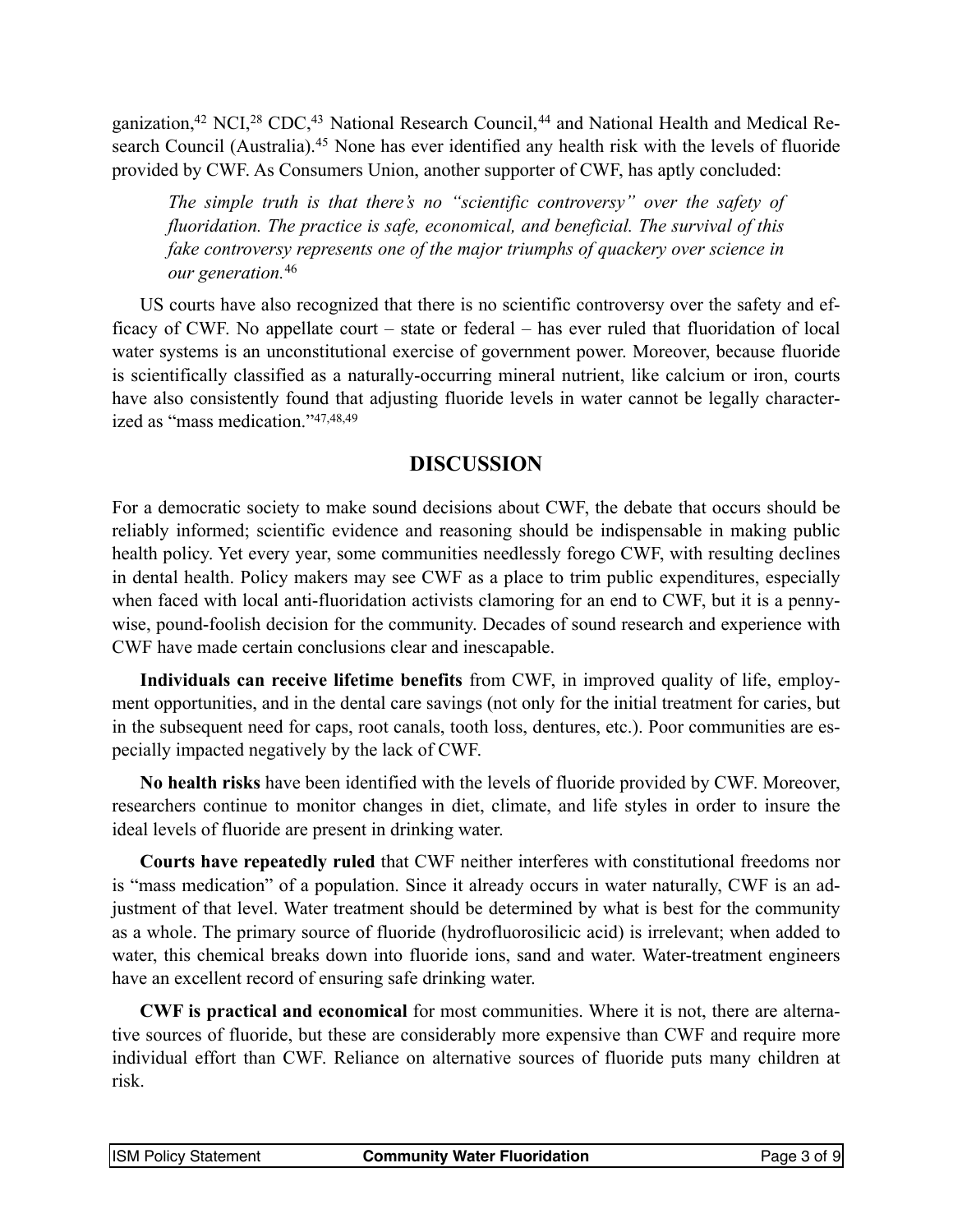ganization,<sup>[42](#page-8-0)</sup> NCI,<sup>28</sup> CDC,<sup>43</sup> National Research Council,<sup>[44](#page-8-2)</sup> and National Health and Medical Re-search Council (Australia).<sup>[45](#page-8-3)</sup> None has ever identified any health risk with the levels of fluoride provided by CWF. As Consumers Union, another supporter of CWF, has aptly concluded:

*The simple truth is that there's no "scientific controversy" over the safety of fluoridation. The practice is safe, economical, and beneficial. The survival of this fake controversy represents one of the major triumphs of quackery over science in our generation.*[46](#page-8-4)

US courts have also recognized that there is no scientific controversy over the safety and efficacy of CWF. No appellate court – state or federal – has ever ruled that fluoridation of local water systems is an unconstitutional exercise of government power. Moreover, because fluoride is scientifically classified as a naturally-occurring mineral nutrient, like calcium or iron, courts have also consistently found that adjusting fluoride levels in water cannot be legally characterized as "mass medication."[47,](#page-8-5)[48,](#page-8-6)[49](#page-8-7)

## **DISCUSSION**

For a democratic society to make sound decisions about CWF, the debate that occurs should be reliably informed; scientific evidence and reasoning should be indispensable in making public health policy. Yet every year, some communities needlessly forego CWF, with resulting declines in dental health. Policy makers may see CWF as a place to trim public expenditures, especially when faced with local anti-fluoridation activists clamoring for an end to CWF, but it is a pennywise, pound-foolish decision for the community. Decades of sound research and experience with CWF have made certain conclusions clear and inescapable.

**Individuals can receive lifetime benefits** from CWF, in improved quality of life, employment opportunities, and in the dental care savings (not only for the initial treatment for caries, but in the subsequent need for caps, root canals, tooth loss, dentures, etc.). Poor communities are especially impacted negatively by the lack of CWF.

**No health risks** have been identified with the levels of fluoride provided by CWF. Moreover, researchers continue to monitor changes in diet, climate, and life styles in order to insure the ideal levels of fluoride are present in drinking water.

**Courts have repeatedly ruled** that CWF neither interferes with constitutional freedoms nor is "mass medication" of a population. Since it already occurs in water naturally, CWF is an adjustment of that level. Water treatment should be determined by what is best for the community as a whole. The primary source of fluoride (hydrofluorosilicic acid) is irrelevant; when added to water, this chemical breaks down into fluoride ions, sand and water. Water-treatment engineers have an excellent record of ensuring safe drinking water.

**CWF is practical and economical** for most communities. Where it is not, there are alternative sources of fluoride, but these are considerably more expensive than CWF and require more individual effort than CWF. Reliance on alternative sources of fluoride puts many children at risk.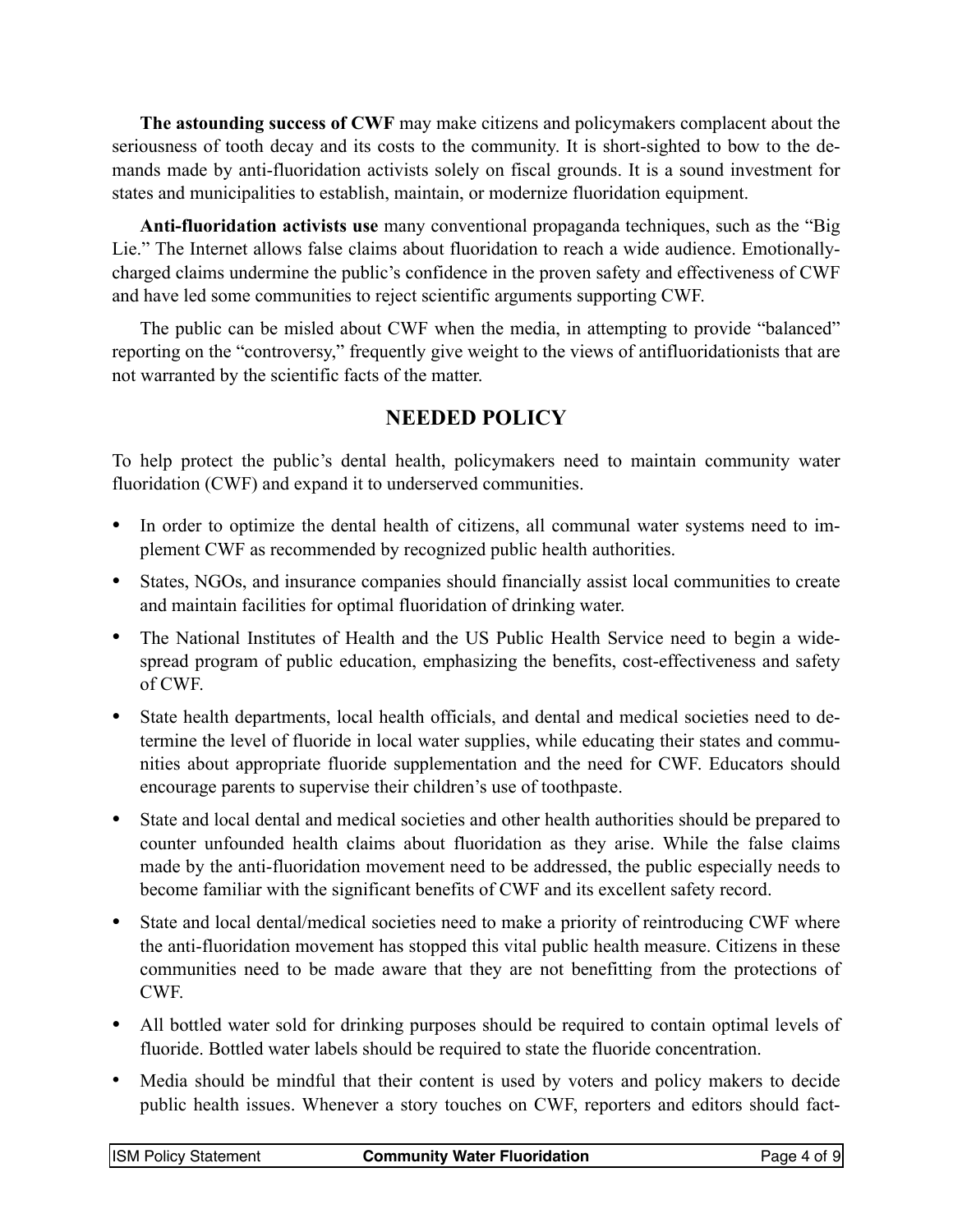**The astounding success of CWF** may make citizens and policymakers complacent about the seriousness of tooth decay and its costs to the community. It is short-sighted to bow to the demands made by anti-fluoridation activists solely on fiscal grounds. It is a sound investment for states and municipalities to establish, maintain, or modernize fluoridation equipment.

**Anti-fluoridation activists use** many conventional propaganda techniques, such as the "Big Lie." The Internet allows false claims about fluoridation to reach a wide audience. Emotionallycharged claims undermine the public's confidence in the proven safety and effectiveness of CWF and have led some communities to reject scientific arguments supporting CWF.

The public can be misled about CWF when the media, in attempting to provide "balanced" reporting on the "controversy," frequently give weight to the views of antifluoridationists that are not warranted by the scientific facts of the matter.

# **NEEDED POLICY**

To help protect the public's dental health, policymakers need to maintain community water fluoridation (CWF) and expand it to underserved communities.

- In order to optimize the dental health of citizens, all communal water systems need to implement CWF as recommended by recognized public health authorities.
- States, NGOs, and insurance companies should financially assist local communities to create and maintain facilities for optimal fluoridation of drinking water.
- The National Institutes of Health and the US Public Health Service need to begin a widespread program of public education, emphasizing the benefits, cost-effectiveness and safety of CWF.
- State health departments, local health officials, and dental and medical societies need to determine the level of fluoride in local water supplies, while educating their states and communities about appropriate fluoride supplementation and the need for CWF. Educators should encourage parents to supervise their children's use of toothpaste.
- State and local dental and medical societies and other health authorities should be prepared to counter unfounded health claims about fluoridation as they arise. While the false claims made by the anti-fluoridation movement need to be addressed, the public especially needs to become familiar with the significant benefits of CWF and its excellent safety record.
- State and local dental/medical societies need to make a priority of reintroducing CWF where the anti-fluoridation movement has stopped this vital public health measure. Citizens in these communities need to be made aware that they are not benefitting from the protections of CWF.
- All bottled water sold for drinking purposes should be required to contain optimal levels of fluoride. Bottled water labels should be required to state the fluoride concentration.
- Media should be mindful that their content is used by voters and policy makers to decide public health issues. Whenever a story touches on CWF, reporters and editors should fact-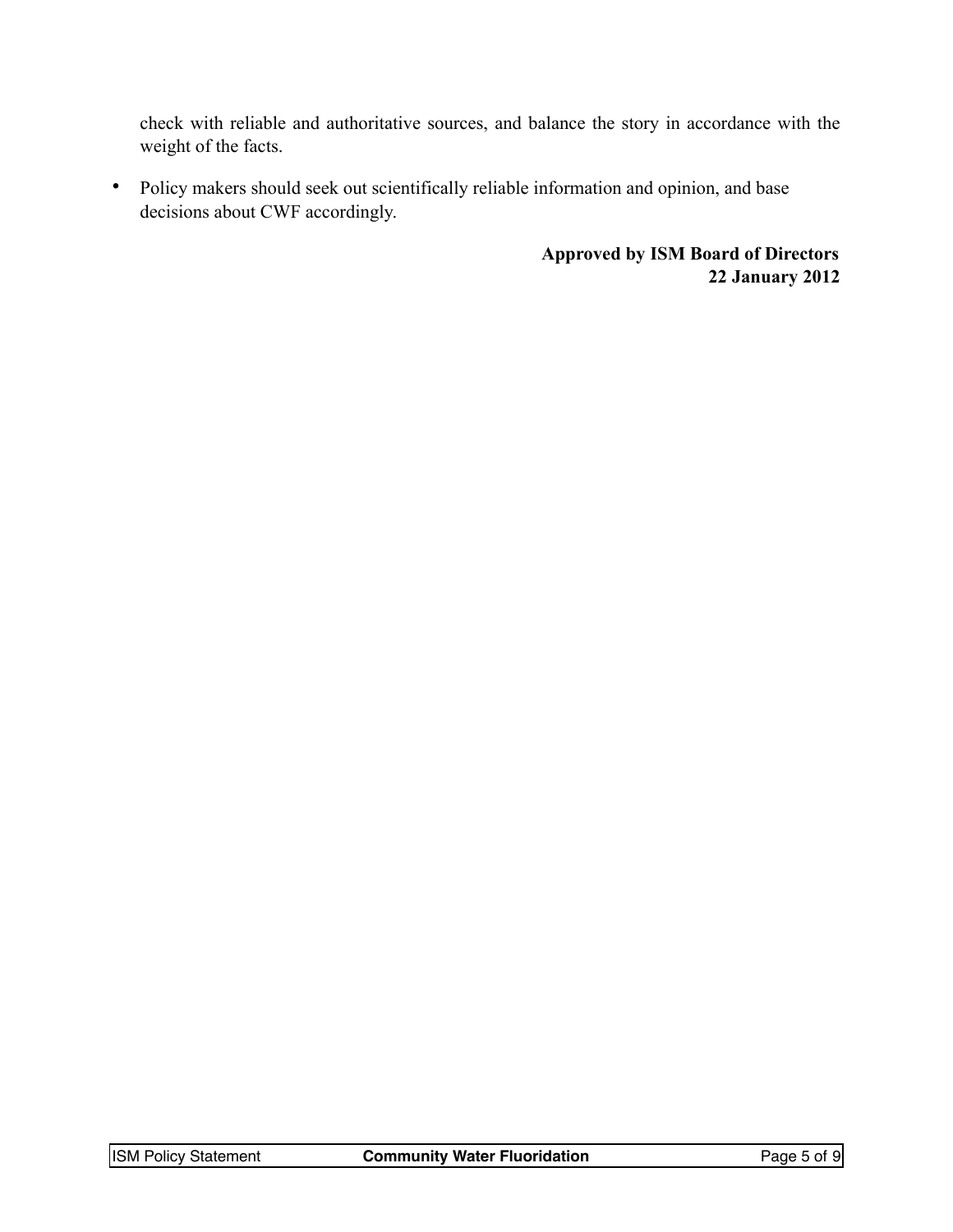check with reliable and authoritative sources, and balance the story in accordance with the weight of the facts.

• Policy makers should seek out scientifically reliable information and opinion, and base decisions about CWF accordingly.

> **Approved by ISM Board of Directors 22 January 2012**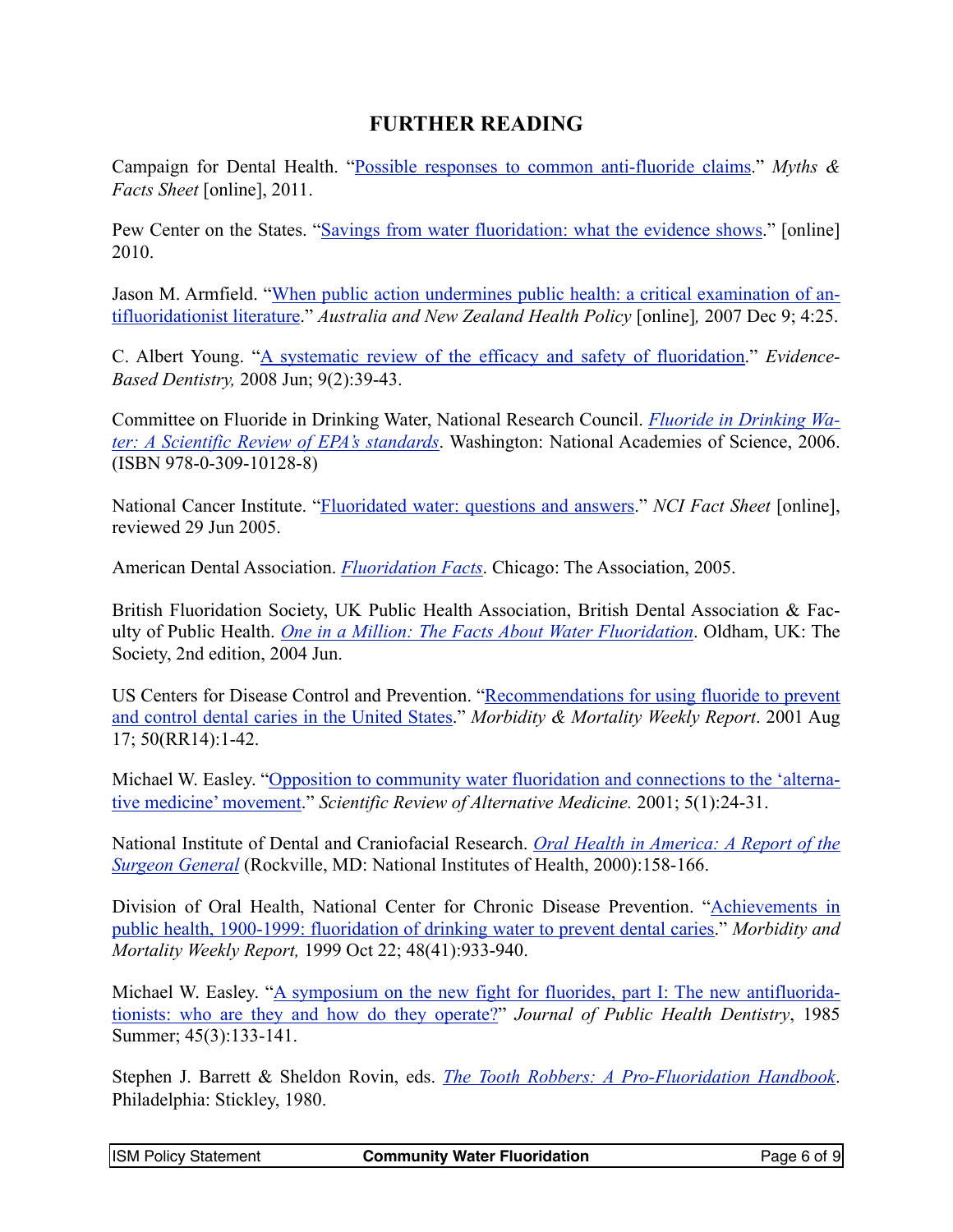### **FURTHER READING**

Campaign for Dental Health. ["Possible responses to common anti-fluoride claims.](http://www.ilikemyteeth.org/wp-content/uploads/2010/11/Myths-and-Facts-Sheet-2.pdf)" *Myths & Facts Sheet* [online], 2011.

Pew Center on the States. ["Savings from water fluoridation: what the evidence shows](http://www.ilikemyteeth.org/wp-content/uploads/2010/11/Savings-from-Fluoridation.pdf)." [online] 2010.

Jason M. Armfield. "[When public action undermines public health: a critical examination of an](http://dx.doi.org/10.1186/1743-8462-4-25)[tifluoridationist literature.](http://dx.doi.org/10.1186/1743-8462-4-25)" *Australia and New Zealand Health Policy* [online]*,* 2007 Dec 9; 4:25.

C. Albert Young. ["A systematic review of the efficacy and safety of fluoridation.](http://missclasses.com/mp3s/Prize%20CD%202010/Previous%20years/Fluoride/review.pdf)" *Evidence-Based Dentistry,* 2008 Jun; 9(2):39-43.

Committee on Fluoride in Drinking Water, National Research Council. *[Fluoride in Drinking Wa](http://www.nap.edu/catalog.php?record_id=11571%23toc)[ter: A Scientific Review of EPA's standards](http://www.nap.edu/catalog.php?record_id=11571%23toc)*. Washington: National Academies of Science, 2006. (ISBN 978-0-309-10128-8)

National Cancer Institute. ["Fluoridated water: questions and answers.](http://www.cancer.gov/cancertopics/factsheet/Risk/fluoridated-water%23)" *NCI Fact Sheet* [online], reviewed 29 Jun 2005.

American Dental Association. *[Fluoridation Facts](http://www.ada.org/sections/newsAndEvents/pdfs/fluoridation_facts.pdf)*. Chicago: The Association, 2005.

British Fluoridation Society, UK Public Health Association, British Dental Association & Faculty of Public Health. *[One in a Million: The Facts About Water Fluoridation](http://www.bfsweb.org/onemillion/onemillion.htm)*. Oldham, UK: The Society, 2nd edition, 2004 Jun.

US Centers for Disease Control and Prevention. "[Recommendations for using fluoride to prevent](http://www.cdc.gov/mmwr/preview/mmwrhtml/rr5014a1.htm)  [and control dental caries in the United States.](http://www.cdc.gov/mmwr/preview/mmwrhtml/rr5014a1.htm)" *Morbidity & Mortality Weekly Report*. 2001 Aug 17; 50(RR14):1-42.

Michael W. Easley. "[Opposition to community water fluoridation and connections to the 'alterna](http://www.f-take.com/01-m-easley.htm)[tive medicine' movement.](http://www.f-take.com/01-m-easley.htm)" *Scientific Review of Alternative Medicine.* 2001; 5(1):24-31.

National Institute of Dental and Craniofacial Research. *[Oral Health in America: A Report of the](http://www.surgeongeneral.gov/library/oralhealth/)  [Surgeon General](http://www.surgeongeneral.gov/library/oralhealth/)* (Rockville, MD: National Institutes of Health, 2000):158-166.

Division of Oral Health, National Center for Chronic Disease Prevention. "[Achievements in](http://www.cdc.gov/mmwr/preview/mmwrhtml/mm4841a1.htm)  [public health, 1900-1999: fluoridation of drinking water to prevent dental caries](http://www.cdc.gov/mmwr/preview/mmwrhtml/mm4841a1.htm)." *Morbidity and Mortality Weekly Report,* 1999 Oct 22; 48(41):933-940.

Michael W. Easley. "[A symposium on the new fight for fluorides, part I: The new antifluorida](http://dx.doi.org/10.1111/j.1752-7325.1985.tb01127.x)[tionists: who are they and how do they operate?](http://dx.doi.org/10.1111/j.1752-7325.1985.tb01127.x)" *Journal of Public Health Dentistry*, 1985 Summer; 45(3):133-141.

Stephen J. Barrett & Sheldon Rovin, eds. *[The Tooth Robbers: A Pro-Fluoridation Handbook](http://www.dentalwatch.org/fl/tooth_robbers.pdf)*. Philadelphia: Stickley, 1980.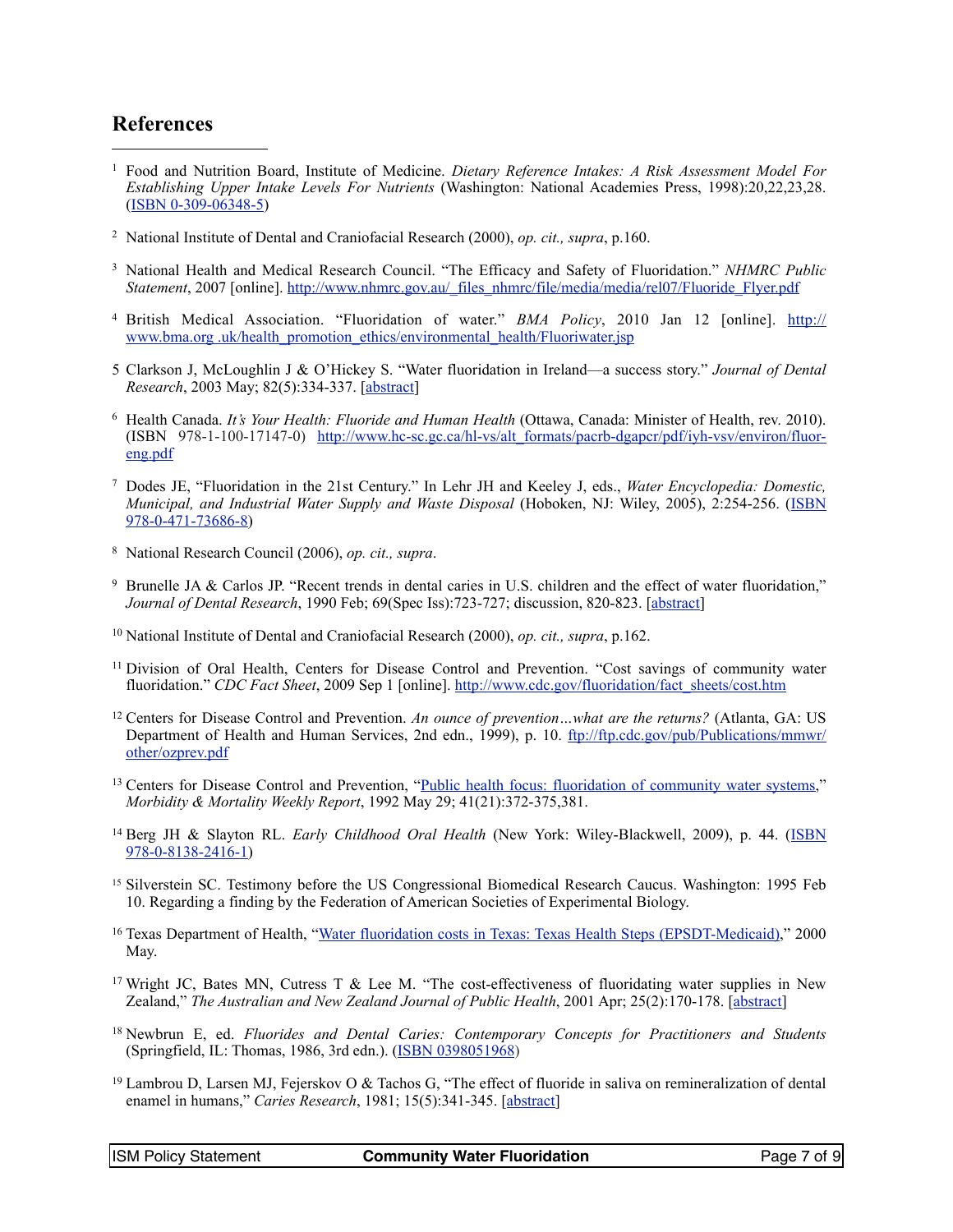#### **References**

- <span id="page-6-0"></span><sup>1</sup> Food and Nutrition Board, Institute of Medicine. *Dietary Reference Intakes: A Risk Assessment Model For Establishing Upper Intake Levels For Nutrients* (Washington: National Academies Press, 1998):20,22,23,28. [\(ISBN 0-309-06348-5\)](http://www.ncbi.nlm.nih.gov/books/NBK45189/pdf/TOC.pdf)
- <span id="page-6-1"></span><sup>2</sup> National Institute of Dental and Craniofacial Research (2000), *op. cit., supra*, p.160.
- <span id="page-6-2"></span>3 National Health and Medical Research Council. "The Efficacy and Safety of Fluoridation." *NHMRC Public Statement*, 2007 [online]. [http://www.nhmrc.gov.au/\\_files\\_nhmrc/file/media/media/rel07/Fluoride\\_Flyer.pdf](http://www.nhmrc.gov.au/_files_nhmrc/file/media/media/rel07/Fluoride_Flyer.pdf)
- <span id="page-6-3"></span>4 British Medical Association. "Fluoridation of water." *BMA Policy*, 2010 Jan 12 [online]. [http://](http://www.bma.org.uk/health_promotion_ethics/environmental_health/Fluoriwater.jsp) [www.bma.org .uk/health\\_promotion\\_ethics/environmental\\_health/Fluoriwater.jsp](http://www.bma.org.uk/health_promotion_ethics/environmental_health/Fluoriwater.jsp)
- <span id="page-6-4"></span>5 Clarkson J, McLoughlin J & O'Hickey S. "Water fluoridation in Ireland—a success story." *Journal of Dental Research*, 2003 May; 82(5):334-337. [\[abstract](http://dx.doi.org/10.1177/154405910308200502)]
- <span id="page-6-5"></span>6 Health Canada. *It's Your Health: Fluoride and Human Health* (Ottawa, Canada: Minister of Health, rev. 2010). (ISBN 978-1-100-17147-0) [http://www.hc-sc.gc.ca/hl-vs/alt\\_formats/pacrb-dgapcr/pdf/iyh-vsv/environ/fluor](http://www.hc-sc.gc.ca/hl-vs/alt_formats/pacrb-dgapcr/pdf/iyh-vsv/environ/fluor-eng.pdf)[eng.pdf](http://www.hc-sc.gc.ca/hl-vs/alt_formats/pacrb-dgapcr/pdf/iyh-vsv/environ/fluor-eng.pdf)
- <span id="page-6-6"></span>7 Dodes JE, "Fluoridation in the 21st Century." In Lehr JH and Keeley J, eds., *Water Encyclopedia: Domestic, Municipal, and Industrial Water Supply and Waste Disposal* (Hoboken, NJ: Wiley, 2005), 2:254-256. [\(ISBN](http://www.wiley.com/WileyCDA/WileyTitle/productCd-0471736864.html) [978-0-471-73686-8](http://www.wiley.com/WileyCDA/WileyTitle/productCd-0471736864.html))
- <span id="page-6-7"></span>8 National Research Council (2006), *op. cit., supra*.
- <span id="page-6-8"></span>9 Brunelle JA & Carlos JP. "Recent trends in dental caries in U.S. children and the effect of water fluoridation," *Journal of Dental Research*, 1990 Feb; 69(Spec Iss):723-727; discussion, 820-823. [[abstract\]](http://www.ncbi.nlm.nih.gov/sites/entrez?Db=pubmed&Cmd=Retrieve&list_uids=2312893)
- <span id="page-6-9"></span><sup>10</sup> National Institute of Dental and Craniofacial Research (2000), *op. cit., supra*, p.162.
- <span id="page-6-10"></span><sup>11</sup> Division of Oral Health, Centers for Disease Control and Prevention. "Cost savings of community water fluoridation." *CDC Fact Sheet*, 2009 Sep 1 [online]. [http://www.cdc.gov/fluoridation/fact\\_sheets/cost.htm](http://www.cdc.gov/fluoridation/fact_sheets/cost.htm)
- <span id="page-6-11"></span>12 Centers for Disease Control and Prevention. *An ounce of prevention…what are the returns?* (Atlanta, GA: US Department of Health and Human Services, 2nd edn., 1999), p. 10. [ftp://ftp.cdc.gov/pub/Publications/mmwr/](http://ftp://ftp.cdc.gov/pub/Publications/mmwr/other/ozprev.pdf)  [other/ozprev.pdf](http://ftp://ftp.cdc.gov/pub/Publications/mmwr/other/ozprev.pdf)
- <span id="page-6-12"></span><sup>13</sup> Centers for Disease Control and Prevention, ["Public health focus: fluoridation of community water systems](http://www.cdc.gov/mmwr/preview/mmwrhtml/00016840.htm)," *Morbidity & Mortality Weekly Report*, 1992 May 29; 41(21):372-375,381.
- <span id="page-6-13"></span>14 Berg JH & Slayton RL. *Early Childhood Oral Health* (New York: Wiley-Blackwell, 2009), p. 44. [\(ISBN](http://www.wiley.com/WileyCDA/WileyTitle/productCd-0813824168.html) [978-0-8138-2416-1](http://www.wiley.com/WileyCDA/WileyTitle/productCd-0813824168.html))
- <span id="page-6-14"></span><sup>15</sup> Silverstein SC. Testimony before the US Congressional Biomedical Research Caucus. Washington: 1995 Feb 10. Regarding a finding by the Federation of American Societies of Experimental Biology.
- <span id="page-6-15"></span>16 Texas Department of Health, "[Water fluoridation costs in Texas: Texas Health Steps \(EPSDT-Medicaid\)](http://www.dshs.state.tx.us/dental/pdf/fluoridation.pdf)," 2000 May.
- <span id="page-6-16"></span><sup>17</sup> Wright JC, Bates MN, Cutress T & Lee M. "The cost-effectiveness of fluoridating water supplies in New Zealand," *The Australian and New Zealand Journal of Public Health*, 2001 Apr; 25(2):170-178. [\[abstract](http://dx.doi.org/10.1111/j.1753-6405.2001.tb01841.x)]
- <span id="page-6-17"></span>18 Newbrun E, ed. *Fluorides and Dental Caries: Contemporary Concepts for Practitioners and Students* (Springfield, IL: Thomas, 1986, 3rd edn.). ([ISBN 0398051968\)](http://lccn.loc.gov/85024520)
- <span id="page-6-18"></span><sup>19</sup> Lambrou D, Larsen MJ, Fejerskov O & Tachos G, "The effect of fluoride in saliva on remineralization of dental enamel in humans," *Caries Research*, 1981; 15(5):341-345. [[abstract\]](http://dx.doi.org/10.1159/000260536)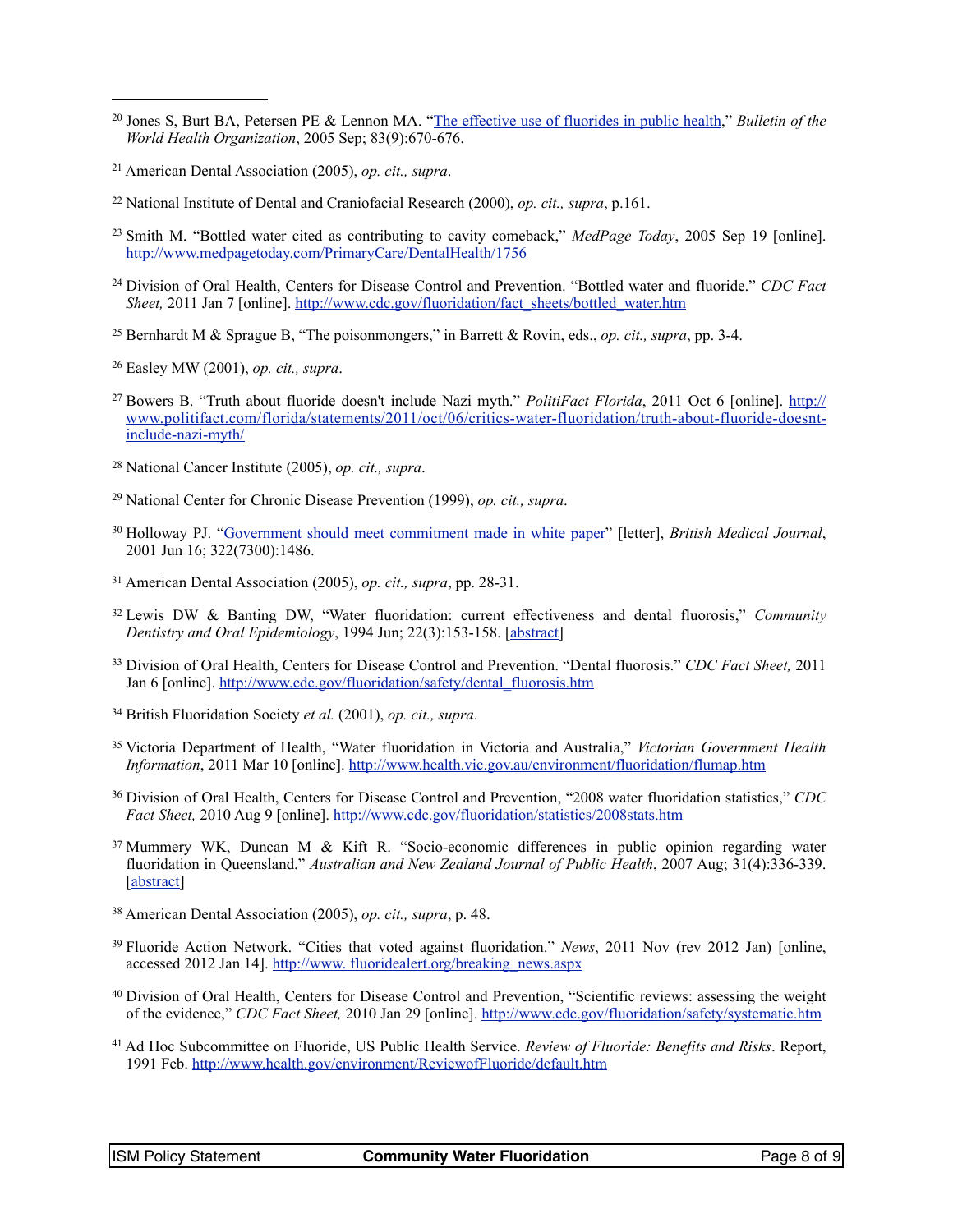- <span id="page-7-0"></span><sup>20</sup> Jones S, Burt BA, Petersen PE & Lennon MA. "[The effective use of fluorides in public health,](http://www.who.int/bulletin/volumes/83/9/670.pdf)" *Bulletin of the World Health Organization*, 2005 Sep; 83(9):670-676.
- <span id="page-7-1"></span><sup>21</sup> American Dental Association (2005), *op. cit., supra*.
- <span id="page-7-2"></span><sup>22</sup> National Institute of Dental and Craniofacial Research (2000), *op. cit., supra*, p.161.
- <span id="page-7-3"></span>23 Smith M. "Bottled water cited as contributing to cavity comeback," *MedPage Today*, 2005 Sep 19 [online]. <http://www.medpagetoday.com/PrimaryCare/DentalHealth/1756>
- <span id="page-7-4"></span><sup>24</sup> Division of Oral Health, Centers for Disease Control and Prevention. "Bottled water and fluoride." *CDC Fact Sheet,* 2011 Jan 7 [online]. [http://www.cdc.gov/fluoridation/fact\\_sheets/bottled\\_water.htm](http://www.cdc.gov/fluoridation/fact_sheets/bottled_water.htm)
- <span id="page-7-5"></span>25 Bernhardt M & Sprague B, "The poisonmongers," in Barrett & Rovin, eds., *op. cit., supra*, pp. 3-4.
- <span id="page-7-6"></span>26 Easley MW (2001), *op. cit., supra*.
- <span id="page-7-7"></span>27 Bowers B. "Truth about fluoride doesn't include Nazi myth." *PolitiFact Florida*, 2011 Oct 6 [online]. [http://](http://www.politifact.com/florida/statements/2011/oct/06/critics-water-fluoridation/truth-about-fluoride-doesnt-include-nazi-myth/)  [www.politifact.com/florida/statements/2011/oct/06/critics-water-fluoridation/truth-about-fluoride-doesnt](http://www.politifact.com/florida/statements/2011/oct/06/critics-water-fluoridation/truth-about-fluoride-doesnt-include-nazi-myth/)[include-nazi-myth/](http://www.politifact.com/florida/statements/2011/oct/06/critics-water-fluoridation/truth-about-fluoride-doesnt-include-nazi-myth/)
- <span id="page-7-8"></span>28 National Cancer Institute (2005), *op. cit., supra*.
- <span id="page-7-9"></span>29 National Center for Chronic Disease Prevention (1999), *op. cit., supra*.
- <span id="page-7-10"></span><sup>30</sup> Holloway PJ. "[Government should meet commitment made in white paper](http://www.ncbi.nlm.nih.gov/pmc/articles/PMC1120532/)" [letter], *British Medical Journal*, 2001 Jun 16; 322(7300):1486.
- <span id="page-7-11"></span><sup>31</sup> American Dental Association (2005), *op. cit., supra*, pp. 28-31.
- <span id="page-7-12"></span>32 Lewis DW & Banting DW, "Water fluoridation: current effectiveness and dental fluorosis," *Community Dentistry and Oral Epidemiology*, 1994 Jun; 22(3):153-158. [[abstract](http://dx.doi.org/10.1111/j.1600-0528.1994.tb01833.x)]
- <span id="page-7-13"></span>33 Division of Oral Health, Centers for Disease Control and Prevention. "Dental fluorosis." *CDC Fact Sheet,* 2011 Jan 6 [online]. [http://www.cdc.gov/fluoridation/safety/dental\\_fluorosis.htm](http://www.cdc.gov/fluoridation/safety/dental_fluorosis.htm)
- <span id="page-7-14"></span><sup>34</sup> British Fluoridation Society *et al.* (2001), *op. cit., supra*.
- <span id="page-7-15"></span>35 Victoria Department of Health, "Water fluoridation in Victoria and Australia," *Victorian Government Health Information*, 2011 Mar 10 [online].<http://www.health.vic.gov.au/environment/fluoridation/flumap.htm>
- <span id="page-7-16"></span><sup>36</sup> Division of Oral Health, Centers for Disease Control and Prevention, "2008 water fluoridation statistics," *CDC Fact Sheet,* 2010 Aug 9 [online].<http://www.cdc.gov/fluoridation/statistics/2008stats.htm>
- <span id="page-7-17"></span><sup>37</sup> Mummery WK, Duncan M & Kift R. "Socio-economic differences in public opinion regarding water fluoridation in Queensland." *Australian and New Zealand Journal of Public Health*, 2007 Aug; 31(4):336-339. [\[abstract](http://dx.doi.org/10.1111/j.1753-6405.2007.00082.x)]
- <span id="page-7-18"></span><sup>38</sup> American Dental Association (2005), *op. cit., supra*, p. 48.
- <span id="page-7-19"></span><sup>39</sup> Fluoride Action Network. "Cities that voted against fluoridation." *News*, 2011 Nov (rev 2012 Jan) [online, accessed 2012 Jan 14]. [http://www. fluoridealert.org/breaking\\_news.aspx](http://www.fluoridealert.org/breaking_news.aspx)
- <span id="page-7-20"></span><sup>40</sup> Division of Oral Health, Centers for Disease Control and Prevention, "Scientific reviews: assessing the weight of the evidence," *CDC Fact Sheet,* 2010 Jan 29 [online]. <http://www.cdc.gov/fluoridation/safety/systematic.htm>
- <span id="page-7-21"></span><sup>41</sup> Ad Hoc Subcommittee on Fluoride, US Public Health Service. *Review of Fluoride: Benefits and Risks*. Report, 1991 Feb. <http://www.health.gov/environment/ReviewofFluoride/default.htm>